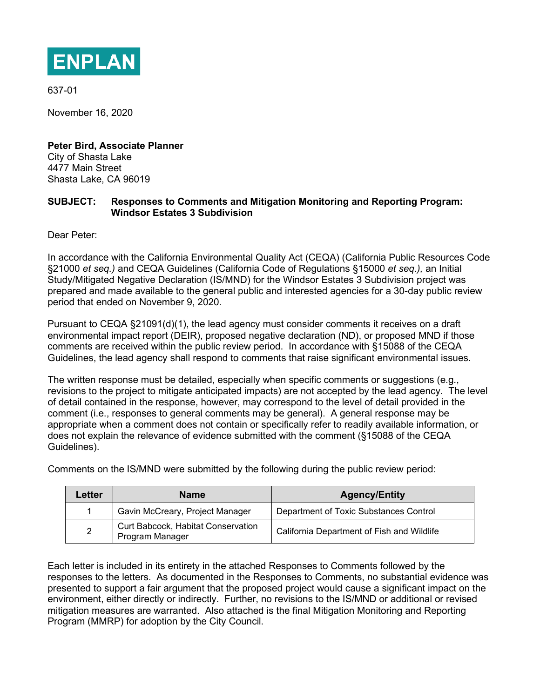

637-01

November 16, 2020

**Peter Bird, Associate Planner** City of Shasta Lake 4477 Main Street Shasta Lake, CA 96019

### **SUBJECT: Responses to Comments and Mitigation Monitoring and Reporting Program: Windsor Estates 3 Subdivision**

Dear Peter:

In accordance with the California Environmental Quality Act (CEQA) (California Public Resources Code §21000 *et seq.)* and CEQA Guidelines (California Code of Regulations §15000 *et seq.),* an Initial Study/Mitigated Negative Declaration (IS/MND) for the Windsor Estates 3 Subdivision project was prepared and made available to the general public and interested agencies for a 30-day public review period that ended on November 9, 2020.

Pursuant to CEQA §21091(d)(1), the lead agency must consider comments it receives on a draft environmental impact report (DEIR), proposed negative declaration (ND), or proposed MND if those comments are received within the public review period. In accordance with §15088 of the CEQA Guidelines, the lead agency shall respond to comments that raise significant environmental issues.

The written response must be detailed, especially when specific comments or suggestions (e.g., revisions to the project to mitigate anticipated impacts) are not accepted by the lead agency. The level of detail contained in the response, however, may correspond to the level of detail provided in the comment (i.e., responses to general comments may be general). A general response may be appropriate when a comment does not contain or specifically refer to readily available information, or does not explain the relevance of evidence submitted with the comment (§15088 of the CEQA Guidelines).

Comments on the IS/MND were submitted by the following during the public review period:

| Letter | <b>Name</b>                                           | <b>Agency/Entity</b>                       |
|--------|-------------------------------------------------------|--------------------------------------------|
|        | Gavin McCreary, Project Manager                       | Department of Toxic Substances Control     |
| 2      | Curt Babcock, Habitat Conservation<br>Program Manager | California Department of Fish and Wildlife |

Each letter is included in its entirety in the attached Responses to Comments followed by the responses to the letters. As documented in the Responses to Comments, no substantial evidence was presented to support a fair argument that the proposed project would cause a significant impact on the environment, either directly or indirectly. Further, no revisions to the IS/MND or additional or revised mitigation measures are warranted. Also attached is the final Mitigation Monitoring and Reporting Program (MMRP) for adoption by the City Council.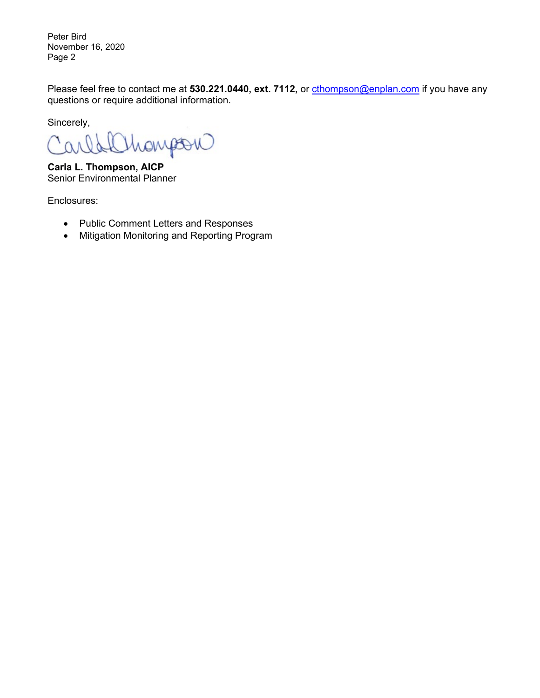Peter Bird November 16, 2020 Page 2

Please feel free to contact me at 530.221.0440, ext. 7112, or [cthompson@enplan.com](mailto:cthompson@enplan.com) if you have any questions or require additional information.

Sincerely,

Mongou Id Car

**Carla L. Thompson, AICP** Senior Environmental Planner

Enclosures:

- Public Comment Letters and Responses
- Mitigation Monitoring and Reporting Program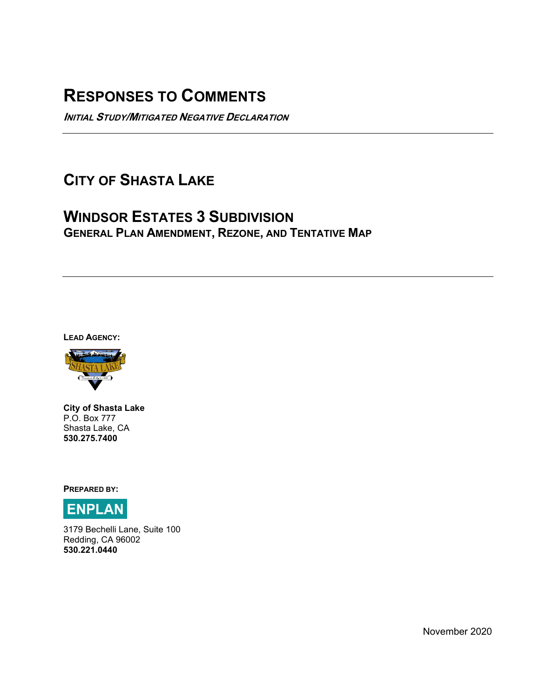# **RESPONSES TO COMMENTS**

**INITIAL STUDY/MITIGATED NEGATIVE DECLARATION** 

# **CITY OF SHASTA LAKE**

## **WINDSOR ESTATES 3 SUBDIVISION GENERAL PLAN AMENDMENT, REZONE, AND TENTATIVE MAP**

**LEAD AGENCY:** 



**City of Shasta Lake** P.O. Box 777 Shasta Lake, CA **530.275.7400**

**PREPARED BY:** 



3179 Bechelli Lane, Suite 100 Redding, CA 96002 **530.221.0440** 

November 2020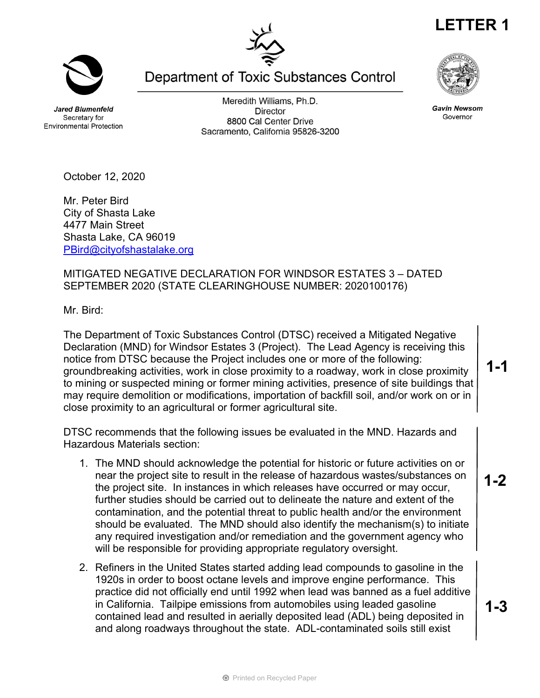**Jared Blumenfeld** Secretary for **Environmental Protection** 

Meredith Williams, Ph.D. **Director** 8800 Cal Center Drive Sacramento, California 95826-3200

Department of Toxic Substances Control

October 12, 2020

Mr. Peter Bird City of Shasta Lake 4477 Main Street Shasta Lake, CA 96019 PBird@cityofshastalake.org

### MITIGATED NEGATIVE DECLARATION FOR WINDSOR ESTATES 3 – DATED SEPTEMBER 2020 (STATE CLEARINGHOUSE NUMBER: 2020100176)

Mr. Bird:

The Department of Toxic Substances Control (DTSC) received a Mitigated Negative Declaration (MND) for Windsor Estates 3 (Project). The Lead Agency is receiving this notice from DTSC because the Project includes one or more of the following: groundbreaking activities, work in close proximity to a roadway, work in close proximity to mining or suspected mining or former mining activities, presence of site buildings that may require demolition or modifications, importation of backfill soil, and/or work on or in close proximity to an agricultural or former agricultural site.

DTSC recommends that the following issues be evaluated in the MND. Hazards and Hazardous Materials section:

- 1. The MND should acknowledge the potential for historic or future activities on or near the project site to result in the release of hazardous wastes/substances on the project site. In instances in which releases have occurred or may occur, further studies should be carried out to delineate the nature and extent of the contamination, and the potential threat to public health and/or the environment should be evaluated. The MND should also identify the mechanism(s) to initiate any required investigation and/or remediation and the government agency who will be responsible for providing appropriate regulatory oversight.
- 2. Refiners in the United States started adding lead compounds to gasoline in the 1920s in order to boost octane levels and improve engine performance. This practice did not officially end until 1992 when lead was banned as a fuel additive in California. Tailpipe emissions from automobiles using leaded gasoline contained lead and resulted in aerially deposited lead (ADL) being deposited in and along roadways throughout the state. ADL-contaminated soils still exist

**1-1**

**1-2**

**1-3**

**Gavin Newsom** 

Governor





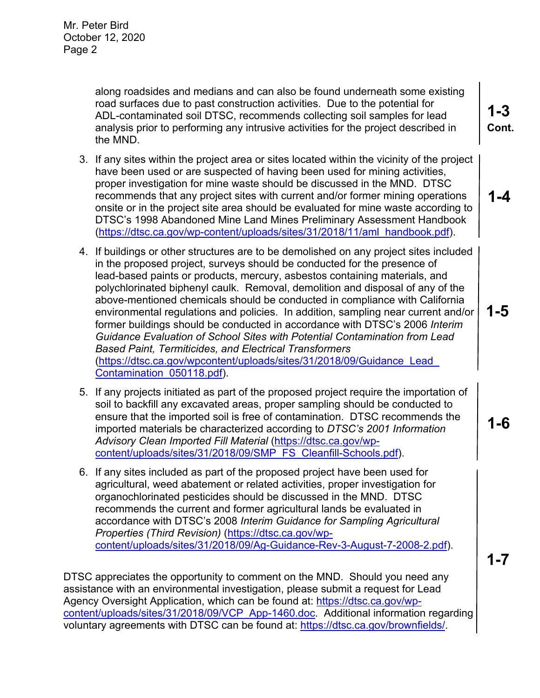along roadsides and medians and can also be found underneath some existing road surfaces due to past construction activities. Due to the potential for ADL-contaminated soil DTSC, recommends collecting soil samples for lead analysis prior to performing any intrusive activities for the project described in the MND.

- 3. If any sites within the project area or sites located within the vicinity of the project have been used or are suspected of having been used for mining activities, proper investigation for mine waste should be discussed in the MND. DTSC recommends that any project sites with current and/or former mining operations onsite or in the project site area should be evaluated for mine waste according to DTSC's 1998 Abandoned Mine Land Mines Preliminary Assessment Handbook (https://dtsc.ca.gov/wp-content/uploads/sites/31/2018/11/aml\_handbook.pdf).
- 4. If buildings or other structures are to be demolished on any project sites included in the proposed project, surveys should be conducted for the presence of lead-based paints or products, mercury, asbestos containing materials, and polychlorinated biphenyl caulk. Removal, demolition and disposal of any of the above-mentioned chemicals should be conducted in compliance with California environmental regulations and policies. In addition, sampling near current and/or former buildings should be conducted in accordance with DTSC's 2006 *Interim Guidance Evaluation of School Sites with Potential Contamination from Lead Based Paint, Termiticides, and Electrical Transformers* (https://dtsc.ca.gov/wpcontent/uploads/sites/31/2018/09/Guidance\_Lead\_ Contamination\_050118.pdf).
- 5. If any projects initiated as part of the proposed project require the importation of soil to backfill any excavated areas, proper sampling should be conducted to ensure that the imported soil is free of contamination. DTSC recommends the imported materials be characterized according to *DTSC's 2001 Information Advisory Clean Imported Fill Material* (https://dtsc.ca.gov/wpcontent/uploads/sites/31/2018/09/SMP\_FS\_Cleanfill-Schools.pdf).
- 6. If any sites included as part of the proposed project have been used for agricultural, weed abatement or related activities, proper investigation for organochlorinated pesticides should be discussed in the MND. DTSC recommends the current and former agricultural lands be evaluated in accordance with DTSC's 2008 *Interim Guidance for Sampling Agricultural Properties (Third Revision)* (https://dtsc.ca.gov/wpcontent/uploads/sites/31/2018/09/Ag-Guidance-Rev-3-August-7-2008-2.pdf).

DTSC appreciates the opportunity to comment on the MND. Should you need any assistance with an environmental investigation, please submit a request for Lead Agency Oversight Application, which can be found at: https://dtsc.ca.gov/wpcontent/uploads/sites/31/2018/09/VCP\_App-1460.doc. Additional information regarding voluntary agreements with DTSC can be found at: https://dtsc.ca.gov/brownfields/.

**1-3 Cont.**

**1-4**

**1-5**



**1-7**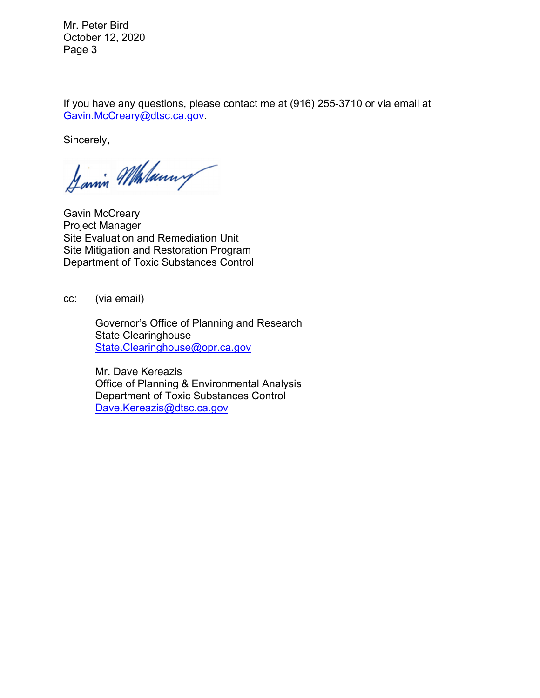Mr. Peter Bird October 12, 2020 Page 3

If you have any questions, please contact me at (916) 255-3710 or via email at Gavin.McCreary@dtsc.ca.gov.

Sincerely,

Janin Malanny

Gavin McCreary Project Manager Site Evaluation and Remediation Unit Site Mitigation and Restoration Program Department of Toxic Substances Control

cc: (via email)

 Governor's Office of Planning and Research State Clearinghouse State.Clearinghouse@opr.ca.gov

Mr. Dave Kereazis Office of Planning & Environmental Analysis Department of Toxic Substances Control Dave.Kereazis@dtsc.ca.gov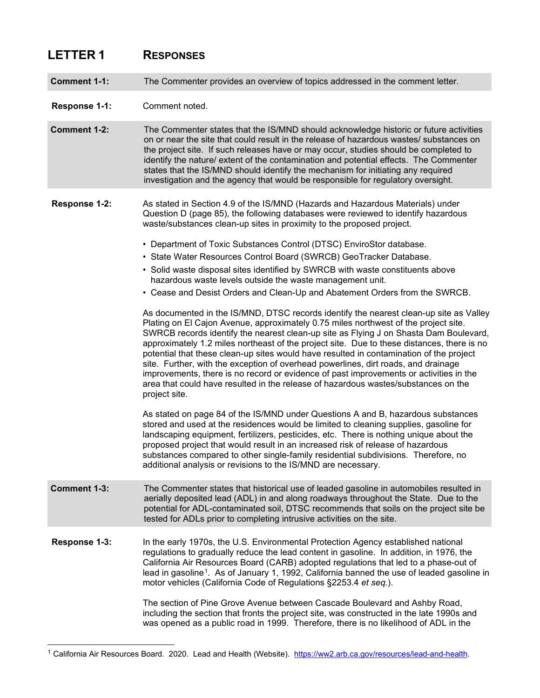## **LETTER 1 RESPONSES**

**Comment 1-1:** The Commenter provides an overview of topics addressed in the comment letter.

#### **Response 1-1:** Comment noted.

**Comment 1-2:** The Commenter states that the IS/MND should acknowledge historic or future activities on or near the site that could result in the release of hazardous wastes/ substances on the project site. If such releases have or may occur, studies should be completed to identify the nature/ extent of the contamination and potential effects. The Commenter states that the IS/MND should identify the mechanism for initiating any required investigation and the agency that would be responsible for regulatory oversight.

- **Response 1-2:** As stated in Section 4.9 of the IS/MND (Hazards and Hazardous Materials) under Question D (page 85), the following databases were reviewed to identify hazardous waste/substances clean-up sites in proximity to the proposed project.
	- Department of Toxic Substances Control (DTSC) EnviroStor database.
	- State Water Resources Control Board (SWRCB) GeoTracker Database.
	- Solid waste disposal sites identified by SWRCB with waste constituents above hazardous waste levels outside the waste management unit.
	- Cease and Desist Orders and Clean-Up and Abatement Orders from the SWRCB.

As documented in the IS/MND, DTSC records identify the nearest clean-up site as Valley Plating on El Cajon Avenue, approximately 0.75 miles northwest of the project site. SWRCB records identify the nearest clean-up site as Flying J on Shasta Dam Boulevard, approximately 1.2 miles northeast of the project site. Due to these distances, there is no potential that these clean-up sites would have resulted in contamination of the project site. Further, with the exception of overhead powerlines, dirt roads, and drainage improvements, there is no record or evidence of past improvements or activities in the area that could have resulted in the release of hazardous wastes/substances on the project site.

As stated on page 84 of the IS/MND under Questions A and B, hazardous substances stored and used at the residences would be limited to cleaning supplies, gasoline for landscaping equipment, fertilizers, pesticides, etc. There is nothing unique about the proposed project that would result in an increased risk of release of hazardous substances compared to other single-family residential subdivisions. Therefore, no additional analysis or revisions to the IS/MND are necessary.

- **Comment 1-3:** The Commenter states that historical use of leaded gasoline in automobiles resulted in aerially deposited lead (ADL) in and along roadways throughout the State. Due to the potential for ADL-contaminated soil, DTSC recommends that soils on the project site be tested for ADLs prior to completing intrusive activities on the site.
- **Response 1-3:** In the early 1970s, the U.S. Environmental Protection Agency established national regulations to gradually reduce the lead content in gasoline. In addition, in 1976, the California Air Resources Board (CARB) adopted regulations that led to a phase-out of lead in gasoline<sup>1</sup>. As of January 1, 1992, California banned the use of leaded gasoline in motor vehicles (California Code of Regulations §2253.4 *et seq.*).

The section of Pine Grove Avenue between Cascade Boulevard and Ashby Road, including the section that fronts the project site, was constructed in the late 1990s and was opened as a public road in 1999. Therefore, there is no likelihood of ADL in the

<span id="page-6-0"></span><sup>1</sup> California Air Resources Board. 2020. Lead and Health (Website). [https://ww2.arb.ca.gov/resources/lead-and-health.](https://ww2.arb.ca.gov/resources/lead-and-health)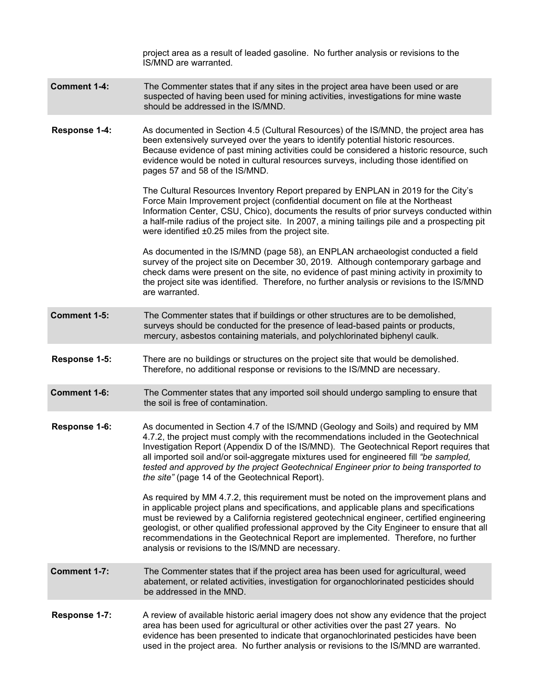|                     | project area as a result of leaded gasoline. No further analysis or revisions to the<br>IS/MND are warranted.                                                                                                                                                                                                                                                                                                                                                                                                         |
|---------------------|-----------------------------------------------------------------------------------------------------------------------------------------------------------------------------------------------------------------------------------------------------------------------------------------------------------------------------------------------------------------------------------------------------------------------------------------------------------------------------------------------------------------------|
| <b>Comment 1-4:</b> | The Commenter states that if any sites in the project area have been used or are<br>suspected of having been used for mining activities, investigations for mine waste<br>should be addressed in the IS/MND.                                                                                                                                                                                                                                                                                                          |
| Response 1-4:       | As documented in Section 4.5 (Cultural Resources) of the IS/MND, the project area has<br>been extensively surveyed over the years to identify potential historic resources.<br>Because evidence of past mining activities could be considered a historic resource, such<br>evidence would be noted in cultural resources surveys, including those identified on<br>pages 57 and 58 of the IS/MND.                                                                                                                     |
|                     | The Cultural Resources Inventory Report prepared by ENPLAN in 2019 for the City's<br>Force Main Improvement project (confidential document on file at the Northeast<br>Information Center, CSU, Chico), documents the results of prior surveys conducted within<br>a half-mile radius of the project site. In 2007, a mining tailings pile and a prospecting pit<br>were identified ±0.25 miles from the project site.                                                                                                |
|                     | As documented in the IS/MND (page 58), an ENPLAN archaeologist conducted a field<br>survey of the project site on December 30, 2019. Although contemporary garbage and<br>check dams were present on the site, no evidence of past mining activity in proximity to<br>the project site was identified. Therefore, no further analysis or revisions to the IS/MND<br>are warranted.                                                                                                                                    |
| Comment 1-5:        | The Commenter states that if buildings or other structures are to be demolished,<br>surveys should be conducted for the presence of lead-based paints or products,<br>mercury, asbestos containing materials, and polychlorinated biphenyl caulk.                                                                                                                                                                                                                                                                     |
| Response 1-5:       | There are no buildings or structures on the project site that would be demolished.<br>Therefore, no additional response or revisions to the IS/MND are necessary.                                                                                                                                                                                                                                                                                                                                                     |
| Comment 1-6:        | The Commenter states that any imported soil should undergo sampling to ensure that<br>the soil is free of contamination.                                                                                                                                                                                                                                                                                                                                                                                              |
| Response 1-6:       | As documented in Section 4.7 of the IS/MND (Geology and Soils) and required by MM<br>4.7.2, the project must comply with the recommendations included in the Geotechnical<br>Investigation Report (Appendix D of the IS/MND). The Geotechnical Report requires that<br>all imported soil and/or soil-aggregate mixtures used for engineered fill "be sampled,<br>tested and approved by the project Geotechnical Engineer prior to being transported to<br>the site" (page 14 of the Geotechnical Report).            |
|                     | As required by MM 4.7.2, this requirement must be noted on the improvement plans and<br>in applicable project plans and specifications, and applicable plans and specifications<br>must be reviewed by a California registered geotechnical engineer, certified engineering<br>geologist, or other qualified professional approved by the City Engineer to ensure that all<br>recommendations in the Geotechnical Report are implemented. Therefore, no further<br>analysis or revisions to the IS/MND are necessary. |
| Comment 1-7:        | The Commenter states that if the project area has been used for agricultural, weed<br>abatement, or related activities, investigation for organochlorinated pesticides should<br>be addressed in the MND.                                                                                                                                                                                                                                                                                                             |
| Response 1-7:       | A review of available historic aerial imagery does not show any evidence that the project<br>area has been used for agricultural or other activities over the past 27 years. No<br>evidence has been presented to indicate that organochlorinated pesticides have been<br>used in the project area. No further analysis or revisions to the IS/MND are warranted.                                                                                                                                                     |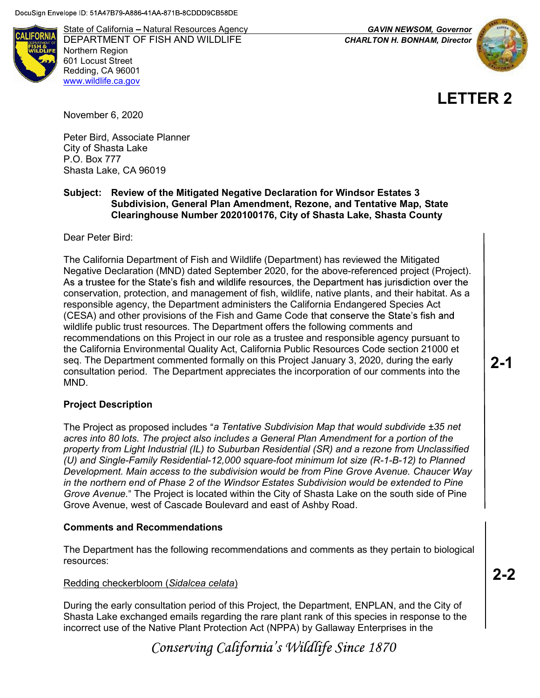**ALIFORNIA** 

State of California – Natural Resources Agency GAVIN NEWSOM, Governor DEPARTMENT OF FISH AND WILDLIFE **CHARLTON H. BONHAM, Director** Northern Region 601 Locust Street Redding, CA 96001 www.wildlife.ca.gov



**LETTER 2**

November 6, 2020

Peter Bird, Associate Planner City of Shasta Lake P.O. Box 777 Shasta Lake, CA 96019

### Subject: Review of the Mitigated Negative Declaration for Windsor Estates 3 Subdivision, General Plan Amendment, Rezone, and Tentative Map, State Clearinghouse Number 2020100176, City of Shasta Lake, Shasta County

Dear Peter Bird:

The California Department of Fish and Wildlife (Department) has reviewed the Mitigated Negative Declaration (MND) dated September 2020, for the above-referenced project (Project). As a trustee for the State's fish and wildlife resources, the Department has jurisdiction over the conservation, protection, and management of fish, wildlife, native plants, and their habitat. As a responsible agency, the Department administers the California Endangered Species Act (CESA) and other provisions of the Fish and Game Code that conserve the State's fish and wildlife public trust resources. The Department offers the following comments and recommendations on this Project in our role as a trustee and responsible agency pursuant to the California Environmental Quality Act, California Public Resources Code section 21000 et seq. The Department commented formally on this Project January 3, 2020, during the early consultation period. The Department appreciates the incorporation of our comments into the MND.

### Project Description

The Project as proposed includes "a Tentative Subdivision Map that would subdivide  $\pm 35$  net acres into 80 lots. The project also includes a General Plan Amendment for a portion of the property from Light Industrial (IL) to Suburban Residential (SR) and a rezone from Unclassified (U) and Single-Family Residential-12,000 square-foot minimum lot size (R-1-B-12) to Planned Development. Main access to the subdivision would be from Pine Grove Avenue. Chaucer Way in the northern end of Phase 2 of the Windsor Estates Subdivision would be extended to Pine Grove Avenue." The Project is located within the City of Shasta Lake on the south side of Pine Grove Avenue, west of Cascade Boulevard and east of Ashby Road.

### Comments and Recommendations

The Department has the following recommendations and comments as they pertain to biological resources:

#### Redding checkerbloom (Sidalcea celata)

During the early consultation period of this Project, the Department, ENPLAN, and the City of Shasta Lake exchanged emails regarding the rare plant rank of this species in response to the incorrect use of the Native Plant Protection Act (NPPA) by Gallaway Enterprises in the

Conserving California's Wildlife Since 1870

**2-1**

**2-2**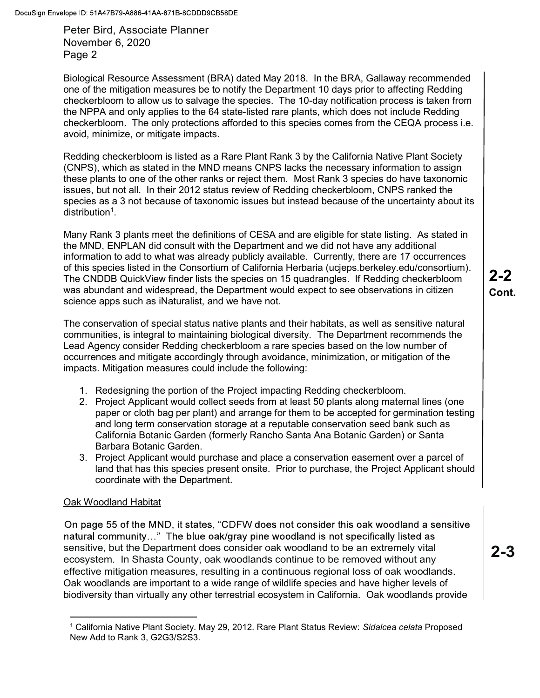Peter Bird, Associate Planner November 6, 2020 Page 2

Biological Resource Assessment (BRA) dated May 2018. In the BRA, Gallaway recommended one of the mitigation measures be to notify the Department 10 days prior to affecting Redding checkerbloom to allow us to salvage the species. The 10-day notification process is taken from the NPPA and only applies to the 64 state-listed rare plants, which does not include Redding checkerbloom. The only protections afforded to this species comes from the CEQA process i.e. avoid, minimize, or mitigate impacts.

Redding checkerbloom is listed as a Rare Plant Rank 3 by the California Native Plant Society (CNPS), which as stated in the MND means CNPS lacks the necessary information to assign these plants to one of the other ranks or reject them. Most Rank 3 species do have taxonomic issues, but not all. In their 2012 status review of Redding checkerbloom, CNPS ranked the species as a 3 not because of taxonomic issues but instead because of the uncertainty about its distribution<sup>1</sup>.

Many Rank 3 plants meet the definitions of CESA and are eligible for state listing. As stated in the MND, ENPLAN did consult with the Department and we did not have any additional information to add to what was already publicly available. Currently, there are 17 occurrences of this species listed in the Consortium of California Herbaria (ucjeps.berkeley.edu/consortium). The CNDDB QuickView finder lists the species on 15 quadrangles. If Redding checkerbloom was abundant and widespread, the Department would expect to see observations in citizen science apps such as iNaturalist, and we have not.

The conservation of special status native plants and their habitats, as well as sensitive natural communities, is integral to maintaining biological diversity. The Department recommends the Lead Agency consider Redding checkerbloom a rare species based on the low number of occurrences and mitigate accordingly through avoidance, minimization, or mitigation of the impacts. Mitigation measures could include the following:

- 1. Redesigning the portion of the Project impacting Redding checkerbloom.
- 2. Project Applicant would collect seeds from at least 50 plants along maternal lines (one paper or cloth bag per plant) and arrange for them to be accepted for germination testing and long term conservation storage at a reputable conservation seed bank such as California Botanic Garden (formerly Rancho Santa Ana Botanic Garden) or Santa Barbara Botanic Garden.
- 3. Project Applicant would purchase and place a conservation easement over a parcel of land that has this species present onsite. Prior to purchase, the Project Applicant should coordinate with the Department.

### Oak Woodland Habitat

On page 55 of the MND, it states, "CDFW does not consider this oak woodland a sensitive natural community..." The blue oak/gray pine woodland is not specifically listed as sensitive, but the Department does consider oak woodland to be an extremely vital ecosystem. In Shasta County, oak woodlands continue to be removed without any effective mitigation measures, resulting in a continuous regional loss of oak woodlands. Oak woodlands are important to a wide range of wildlife species and have higher levels of biodiversity than virtually any other terrestrial ecosystem in California. Oak woodlands provide

**2-2 Cont.**

**2-3**

<sup>&</sup>lt;sup>1</sup> California Native Plant Society. May 29, 2012. Rare Plant Status Review: *Sidalcea celata* Proposed New Add to Rank 3, G2G3/S2S3.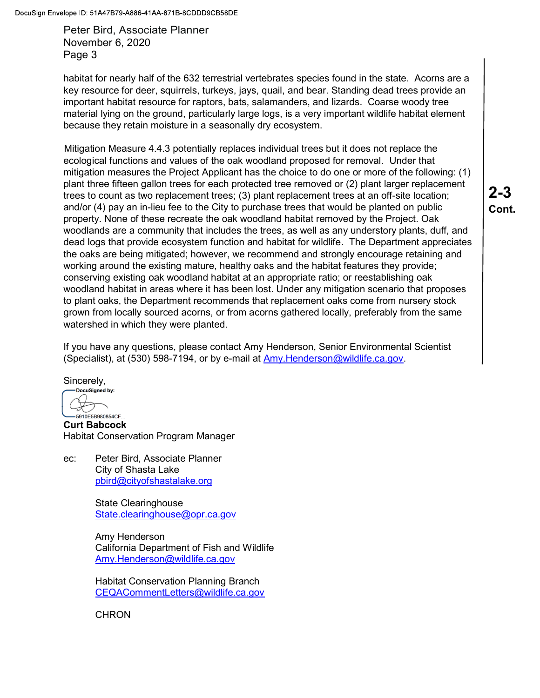Peter Bird, Associate Planner November 6, 2020 Page 3

habitat for nearly half of the 632 terrestrial vertebrates species found in the state. Acorns are a key resource for deer, squirrels, turkeys, jays, quail, and bear. Standing dead trees provide an important habitat resource for raptors, bats, salamanders, and lizards. Coarse woody tree material lying on the ground, particularly large logs, is a very important wildlife habitat element because they retain moisture in a seasonally dry ecosystem.

Mitigation Measure 4.4.3 potentially replaces individual trees but it does not replace the ecological functions and values of the oak woodland proposed for removal. Under that mitigation measures the Project Applicant has the choice to do one or more of the following: (1) plant three fifteen gallon trees for each protected tree removed or (2) plant larger replacement trees to count as two replacement trees; (3) plant replacement trees at an off-site location; and/or (4) pay an in-lieu fee to the City to purchase trees that would be planted on public property. None of these recreate the oak woodland habitat removed by the Project. Oak woodlands are a community that includes the trees, as well as any understory plants, duff, and dead logs that provide ecosystem function and habitat for wildlife. The Department appreciates the oaks are being mitigated; however, we recommend and strongly encourage retaining and working around the existing mature, healthy oaks and the habitat features they provide; conserving existing oak woodland habitat at an appropriate ratio; or reestablishing oak woodland habitat in areas where it has been lost. Under any mitigation scenario that proposes to plant oaks, the Department recommends that replacement oaks come from nursery stock grown from locally sourced acorns, or from acorns gathered locally, preferably from the same watershed in which they were planted.

If you have any questions, please contact Amy Henderson, Senior Environmental Scientist (Specialist), at (530) 598-7194, or by e-mail at Amy. Henderson@wildlife.ca.gov.

Sincerely,

DocuSigned by: 5910E5B980854CF...

Curt Babcock Habitat Conservation Program Manager

ec: Peter Bird, Associate Planner City of Shasta Lake pbird@cityofshastalake.org

> State Clearinghouse State.clearinghouse@opr.ca.gov

Amy Henderson California Department of Fish and Wildlife Amy.Henderson@wildlife.ca.gov

Habitat Conservation Planning Branch CEQACommentLetters@wildlife.ca.gov

**CHRON** 

**2-3 Cont.**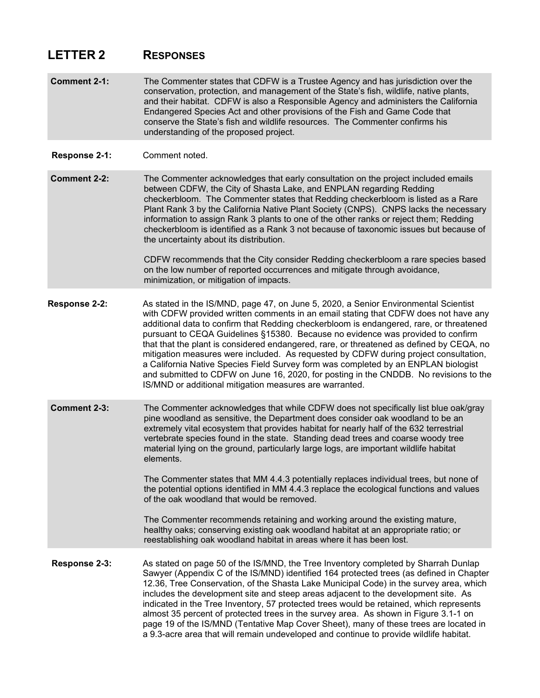## **LETTER 2 RESPONSES**

- **Comment 2-1:** The Commenter states that CDFW is a Trustee Agency and has jurisdiction over the conservation, protection, and management of the State's fish, wildlife, native plants, and their habitat. CDFW is also a Responsible Agency and administers the California Endangered Species Act and other provisions of the Fish and Game Code that conserve the State's fish and wildlife resources. The Commenter confirms his understanding of the proposed project.
- **Response 2-1:** Comment noted.

**Comment 2-2:** The Commenter acknowledges that early consultation on the project included emails between CDFW, the City of Shasta Lake, and ENPLAN regarding Redding checkerbloom. The Commenter states that Redding checkerbloom is listed as a Rare Plant Rank 3 by the California Native Plant Society (CNPS). CNPS lacks the necessary information to assign Rank 3 plants to one of the other ranks or reject them; Redding checkerbloom is identified as a Rank 3 not because of taxonomic issues but because of the uncertainty about its distribution.

> CDFW recommends that the City consider Redding checkerbloom a rare species based on the low number of reported occurrences and mitigate through avoidance, minimization, or mitigation of impacts.

- **Response 2-2:** As stated in the IS/MND, page 47, on June 5, 2020, a Senior Environmental Scientist with CDFW provided written comments in an email stating that CDFW does not have any additional data to confirm that Redding checkerbloom is endangered, rare, or threatened pursuant to CEQA Guidelines §15380. Because no evidence was provided to confirm that that the plant is considered endangered, rare, or threatened as defined by CEQA, no mitigation measures were included. As requested by CDFW during project consultation, a California Native Species Field Survey form was completed by an ENPLAN biologist and submitted to CDFW on June 16, 2020, for posting in the CNDDB. No revisions to the IS/MND or additional mitigation measures are warranted.
- **Comment 2-3:** The Commenter acknowledges that while CDFW does not specifically list blue oak/gray pine woodland as sensitive, the Department does consider oak woodland to be an extremely vital ecosystem that provides habitat for nearly half of the 632 terrestrial vertebrate species found in the state. Standing dead trees and coarse woody tree material lying on the ground, particularly large logs, are important wildlife habitat elements.

The Commenter states that MM 4.4.3 potentially replaces individual trees, but none of the potential options identified in MM 4.4.3 replace the ecological functions and values of the oak woodland that would be removed.

The Commenter recommends retaining and working around the existing mature, healthy oaks; conserving existing oak woodland habitat at an appropriate ratio; or reestablishing oak woodland habitat in areas where it has been lost.

**Response 2-3:** As stated on page 50 of the IS/MND, the Tree Inventory completed by Sharrah Dunlap Sawyer (Appendix C of the IS/MND) identified 164 protected trees (as defined in Chapter 12.36, Tree Conservation, of the Shasta Lake Municipal Code) in the survey area, which includes the development site and steep areas adjacent to the development site. As indicated in the Tree Inventory, 57 protected trees would be retained, which represents almost 35 percent of protected trees in the survey area. As shown in Figure 3.1-1 on page 19 of the IS/MND (Tentative Map Cover Sheet), many of these trees are located in a 9.3-acre area that will remain undeveloped and continue to provide wildlife habitat.